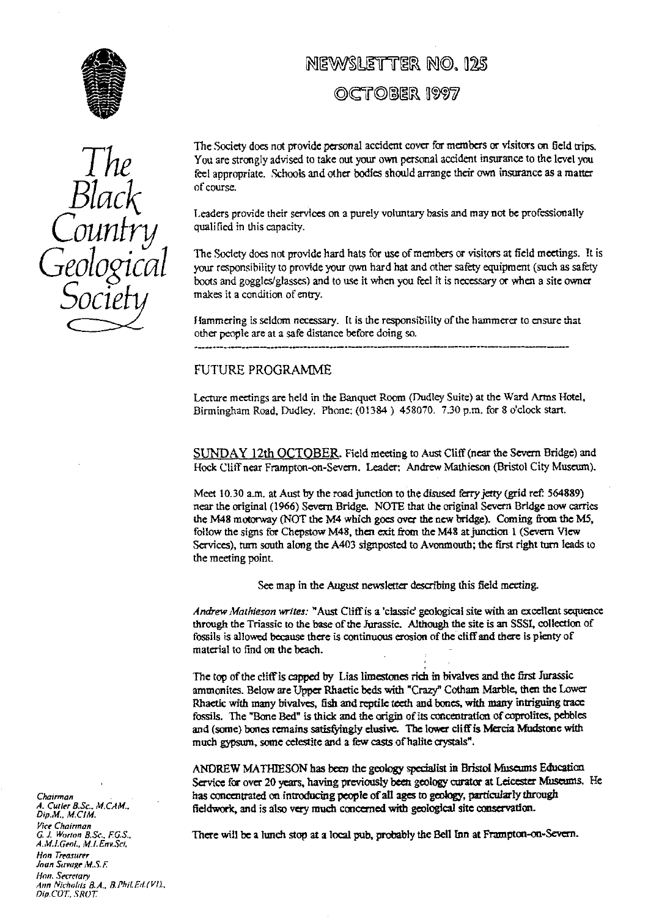

*The Black Country Geological Socie*

# NEWSLETTER NO. 125

OCTOBER 1997

The Society does not provide personal accident cover for members or visitors on field trips. You are strongly advised to take out your own personal accident insurance to the level you feel appropriate. Schools and other bodies should arrange their own insurance as a matter of course.

Leaders provide their services on a purely voluntary basis and may not be professionally qualified in this capacity.

The Society does not provide hard hats for use of members or visitors at field meetings. It is your responsibility to provide your own hard hat and other safety equipment (such as safety boots and goggles/glasses) and to use it when you feel it is necessary or when a site owner makes it a condition of entry.

Hammering is seldom necessary. It is the responsibility of the hammerer to ensure that other people are at a safe distance before doing so.

# FUTURE PROGRAMME

Lect*ur*e meetings are held in the Banquet Room (Dudley Suite) at the Ward Arms Hotel, Birmingham Road, Dudley. Phone: (01384) 458070. 7.30 p.m. for 8 o'clock start.

SUNDAY 12th OCTOBER. Field meeting to Aust Cliff (near the Severn Bridge) and Hock Cliff near Frampton-on-Severn. Leader: Andrew Mathieson (Bristol City Museum).

Meet 10.30 a.m. at Aust by the road junction to the disused ferry jetty (grid rcf: 564889) near **the** original (1966) Severn Bridge. NOTE that the original Severn Bridge now carries the M48 motorway (NOT the M4 which goes **ov**er the new bridge). Coming from the M5, follow the signs for Chepstow M48, then exit from the M48 at **junction** t (Severn View Services), tum south along the A403 signposted to Avonmouth; the first right turn leads to the meeting point.

See map in the August newsletter describing this field meeting.

Andrew Mathieson writes: "Aust Cliff is a 'classic' geological site with an excellent sequence through the T**ri**assic to the base of the Jurassic. Although the site is an SSSI, collection of fossils is allowed because there is continuous erosion of the cliff and there is plenty of mate**ri**al to find on the **be**ach. -

The top of **the** cliff is capped by Li**as** limestones rich in bivalves and the first Jurassic ammonites. Below are Upper Rhaetic beds with "Crazy" Cotham Marble, then the Lower Rhaetic with many bivalves, fish and reptile teeth and bones, with many intriguing trace fossils. **The** "Bone Bed" is thick and the origin of its concentration of coprolites, pebbles and (some) bones remains satisfyingly elusive. The lower cliff is Mercia Mudstone with much gypsum, some celestite and a few casts of halite crystals".

ANDREW MATHIESON has been the geology specialist in Bristol Museums Education Service for over **20** years, having previously been geology curator at Leicester Museums. He has concentrated on.introducing people of all ages to geotogy, particularly through fieldwork, and is also very much concerned with geological site conservation.

There will be a lunch stop at a local pub, probably the Bell Inn at Frampton-on-Severn.

*Chairman A. Curler* **B.Sc.** *M. CAM.. Dip.M., M.COM. Vice Chairman G. J. Worton B.Sc., PGS. A.M.LGenl., MJ.Env.Sci. Nan Treasurer* Joan Savage M.S. F. Hon. Secretary *Ann* Wicholds B.A.. *13. Phil. Ed. Dip.COT.,* **SROT**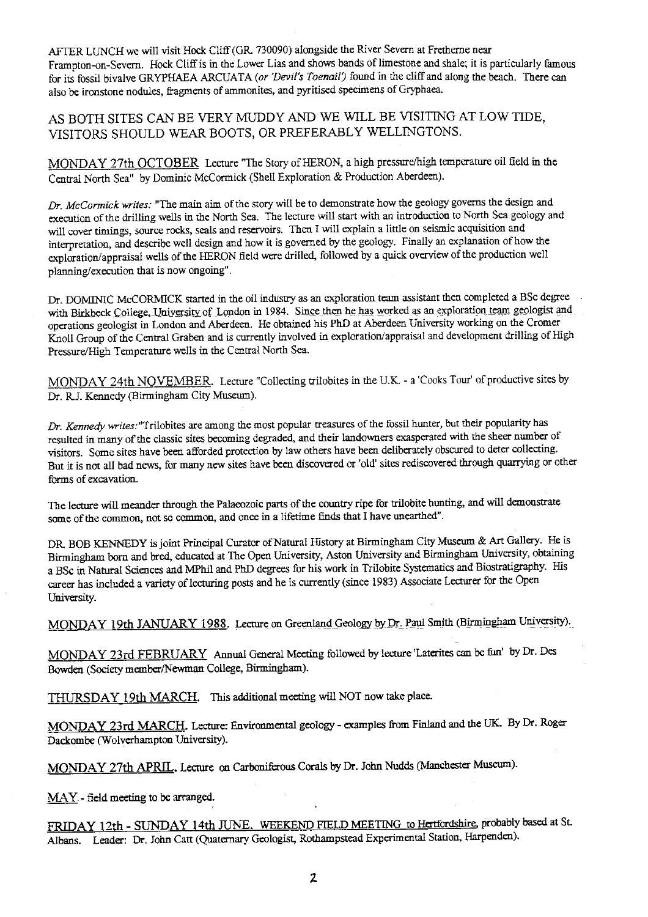AFTER LUNCH we will visit Hock Cliff (GR. 730090) alongside the River Severn at Fretherne near Frampton-on-Severn. Hock Cliff is in the Lower Lias and shows bands of limestone and shale; it is particularly famous for its fossil bivalve GRYPHAEA *ARCUATA (or 'Devil's Toenail9* found in the cliff and along the beach. There can also be ironstone nodules, fragments of ammonites, and pyritised specimens of Gryphaea.

AS BOTH SITES CAN BE VERY MUDDY AND WE WILL BE VISITING AT LOW TIDE, VISITORS SHOULD WEAR BOOTS, OR PREFERABLY WELLINGTONS.

MONDAY 27th OCTOBER Lecture "The Story of HERON, a high pressure/high temperature oil field in the Central North Sea" by Dominic McCormick (Shell Exploration & Production Aberdeen).

*Dr. McCormick writes:* "The main aim of the story will be to demonstrate how the geology governs the design and execution of the drilling wells in the North Sea. The lecture will start *with* an introduction to North Sea geology and will cover timings, source rocks, seals and reservoirs. Then I will explain a little on seismic acquisition and interpretation, and describe well design and how it is governed by the geology. Finally an explanation of how the exploration/appraisal wells of the HERON field were drilled, followed by a quick overview of the production well planning/execution that is now ongoing'.

Dr. DOMINIC McCORMiCK started in the oil industry as an exploration team assistant then completed a BSc degree with Birkbeck College, University of London in 1984. Since then he has worked as an exploration team geologist and operations geologist in London and Aberdeen. He obtained his PhD at Aberdeen University working on the Cromer Knoll Group of the Central Graben and is currently involved in exploration/appraisal and development drilling of High Pressure/High Temperature wells in the Central North Sea.

MONDAY 24th NOVEMBER. Lecture "Collecting trilobites in the U.K. - a 'Cooks Tour' of productive sites by Dr. RJ. Kennedy (Birmingham City Museum).

*Dr. Kennedy writes:* "Trilobites are among the most popular treasures of the fossil hunter, but their popularity has resulted in many of the classic sites becoming degraded, and their landowners exasperated with the sheer number of visitors. Some sites have been afforded protection by law others have been deliberately obscured to deter collecting. But it is not all bad news, for many new sites have been discovered or 'old' sites rediscovered through quarrying or other forms of excavation.

The lecture will meander through the Palaeozoic parts of the country ripe for trilobite hunting, and will demonstrate some of the common, not so common, and once in a lifetime finds that I have unearthed".

DR, BOB KENNEDY is joint Principal Curator of Natural History at Birmingham City Museum & Art Gallery. He is Birmingham born and bred, educated at The Open University, Aston University and Birmingham University, obtaining a BSc in Natural Sciences and MPhil and PhD degrees for his work in Trilobite Systematics and Biostratigraphy. His career has included a variety of lecturing posts and he is currently (since 1983) Associate Lecturer for the Open University.

MONDAY 19th JANUARY 1988. Lecture on Greenland Geology by Dr. Paul Smith (Birmingham University).

MONDAY 23rd FEBRUARY Annual General Meeting followed by lecture'Laterites can be fun' by **Dr. Des** Bowden (Society member/Newman College, Birmingham).

THURSDAY 19th MARCH. This additional meeting will NOT now take place.

MONDAY 23rd MARCH. Lecture: Environmental geology - examples from Finland and the UK. By Dr. Roger Dackombe (Wolverhampton University).

MONDAY 27th APRIL. Lecture on Carboniferous Corals by Dr. John Nudds (Manchester Museum).

MAY - field meeting to be arranged.

FRIDAY 12th - SUNDAY 14th JUNE. WEEKEND FIELD MEETING to Hertfordshire, probably based at St. Albans. Leader: Dr. John Catt (Quaternary Geologist, Rothampstead Experimental Station, Harpenden).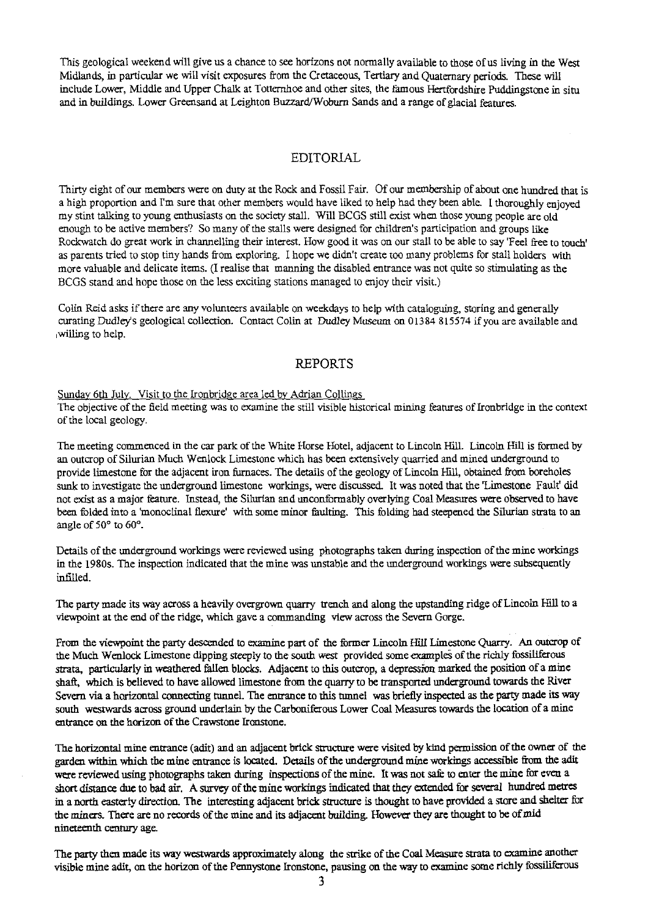This geological weekend will give us a chance to see horizons not normally available to those of as living in the West Midl**an**ds, in particular we will visit exposures from the Cretaceous, Tertiary and Quaternary periods. These will include Lower, Middle and Upper Chalk at Totternhoe and other sites, the famous Hertfordshire Puddingstone in situ and in buildings. Lower Greensand at Leighton Buzzard/Woburn Sands and a range of glacial features.

# EDITORIAL

Thirty eight of our members were on duty at the Rock and Fossil Fair. Of our membership of about one hundred that is a high proportion and I'm sure that other members would have liked to help had they been able. I thoroughly enjoyed my stint talking to young enthusiasts on the society stall. Will BCGS still exist when those young people are old enough to be active members? So many of the stalls were designed for children's participation and groups like Rockwatch do great work in channelling their interest. How good it was on our stall to be able to **say 'Feel** free to touch' as parents tried to stop tiny hands from exploring. I hope we didn't create too many problems for stall holders with more valuable and delicate items. (I realise that manning the disabled entrance was not quite so stimulating as the BCGS stand and hope those on the less exciting stations managed to enjoy their visit.)

Colin Reid asks i**f** there are any volunteers available on weekdays to help with cataloguing, storing and generally curating Dudley's geological collection. Contact Colin at Dudley Museum on 01384 815574 if you are available and willing to help.

# REPORTS

# Sunday 6th July. Visit to the Ironbridge area led by Adrian Collings

The objective of the held meeting was to examine the still visible historical mining features of Tronbridge in the context of the local geology.

The meeting commenced in the car park of the White Horse Hotel, adjacent to Lincoln Hill. Lincoln Hill is formed *by* an outcrop of Silurian Much Wenlock Limestone which has been extensively quarried and mined underground to provide limestone for the adjacent iron furnaces. The details of the geology of Lincoln Hill, obtained from boreholes sunk to investigate the underground limestone workings, were discussed. It was noted that the 'Limestone Fault' did not exist as a major feature. Instead, the Silurian and unconformably overlying Coal Measures were observed to have been folded into a 'monoclinal flexure' with some minor faulting. This folding had steepened the Silurian strata to an angle of 50° to 60°.

Details of the underground workings were reviewed using photographs taken during inspection of the mine workings in the 1980s. The inspection indicated that the mine w**as** unstable and the underground workings were subsequently infiiled.

The party made its way across a heavily overgrown quarry trench and along the upstanding ridge of Lincoln Hill to a viewpoint at the end of the ridge, which gave a commanding view across the Severn Gorge.

From the viewpoint the party descended to examine part of the former Lincoln Hill Limestone Quarry. An outcrop of the Much Wenlock Limestone dipping steeply to the south west provided some examples of the richly fossiliferous strata, particularly in weathered fallen blocks. Adjacent to this outcrop, a depression marked the position of a mine shaft, which is believed to have allowed limestone from the quarry to be transported underground towards the River Severn via a horizontal connecting tunnel. The entrance to this tunnel was briefly inspected as the party made its way south westwards across ground underlain by the Carboniferous Lower Coal Measures towards the location of a mine entrance on the horizon of the Crawstone Ironstone.

The horizontal mine entrance (adit) and an adjacent brick structure were visited by kind permission of the owner of the garden within which the mine entrance is located. Details of the underground mine workings accessible from the adit were reviewed using photographs taken during inspections of the mine. It was not safe to enter the mine for even a short distance due to bad air. A survey of the mine workings indicated that they extended for several hundred metres in a north easterly direction. The interesting adjacent brick structure is thought to have provided a store and shelter for the miners. There are no records of the mine and its adjacent building. However they are thought to be of mid nineteenth century age.

The par**ty** then made its way westwards approximately along the strike of the Coal Measure strata to examine another visible mine adit, on the horizon of the Pennystone Ironstone, pausing on the way to examine some richly fossiliferous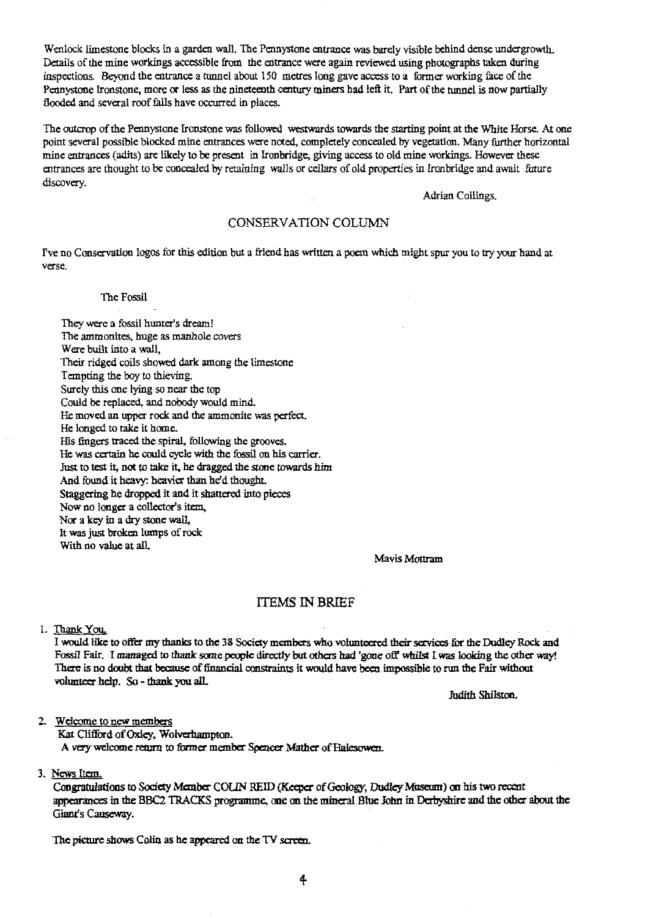Wenlock limestone blocks in a garden wall. The Pennystone entrance was barely visible behind dense undergrowth. Details of the mine workings accessible from the entrance were again reviewed using photographs taken during inspections. Beyond the entrance a cannel about 150 metres long gave access to a former working face of the Pennystone Ironstone, more or less as the nineteenth century miners had left it. Part of the tunnel is now partially flooded and several roof fails have occurred in places.

The outcrop of the Pennystone Ironstone was followed westwards towards the starting point at the White Horse. At one point several possible blocked mine entrances were noted, completely concealed by vegetation. Many further horizontal mine entrances (adits) are likely to be present in Ironbridge, giving access to old mine workings. However these entrances are thought to be concealed by retaining walls or cellars of old properties in Ironbridge and await future discovery.

Adrian Collings.

# CONSERVATION COLUMN

1've no Conservation logos for this edition but a friend has written a poem which might spur you to try your hand at verse.

#### The Fossil

They were a fossil hunter's dream! The ammonites, *huge as* manhole covers Were built into a wall, Their ridged coils showed dark among the limestone Tempting the boy to thieving. Surely this one lying so near the top Could be replaced, and nobody would mind. He moved an upper rock and the ammonite was perfect. He longed to take it home. His fingers traced the spiral, following the grooves. He was certain he could cycle with the fossil on his carrier. Just to test it, not to take it, he dragged the stone towards him And found it heavy: heavier than he'd thought. Staggering he dropped it and it shattered into pieces Now no longer a collector's item, Nor a key in a dry stone wall, It was just broken lumps of rock With no value at all.

Mavis Mottram

## ITEMS IN BRIEF

### 1. Thank You.

I would lice to offer my thanks to the 38 Society members who volunteered their services-for the Dudley Rock and Fossil Fair. I managed to thank some people directly but others had 'gone off' whilst I was looking the other way! There is no doubt that because of financial constraints it would have been impossible to run *the Fair* **without volunteer help. So - thank you alL**

**.Tidith Shilston.**

2. Welcome to new members

Kat Clifford of Oxley, Wolverhampton. A very welcome return to former member Spencer Mather of Halesowen.

#### 3. News *item.*

Congratulations to Society Member COLIN REID (Keeper of Geology, Dudley Museum) on his two recent maces in the BBC2 TRACKS programme, one on the mineral Blue John in Derbyshire and the other about *the* Giant's Causeway.

The picture shows Colin as he appeared on the TV screen.